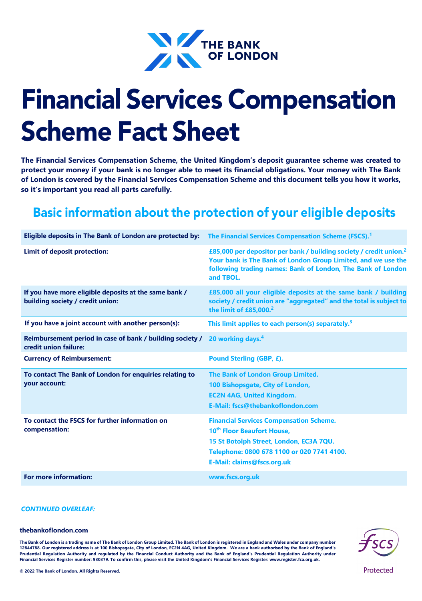

# Financial Services Compensation Scheme Fact Sheet

**The Financial Services Compensation Scheme, the United Kingdom's deposit guarantee scheme was created to protect your money if your bank is no longer able to meet its financial obligations. Your money with The Bank of London is covered by the Financial Services Compensation Scheme and this document tells you how it works, so it's important you read all parts carefully.** 

# Basic information about the protection of your eligible deposits

| Eligible deposits in The Bank of London are protected by:                                 | The Financial Services Compensation Scheme (FSCS). <sup>1</sup>                                                                                                                                                             |
|-------------------------------------------------------------------------------------------|-----------------------------------------------------------------------------------------------------------------------------------------------------------------------------------------------------------------------------|
| <b>Limit of deposit protection:</b>                                                       | £85,000 per depositor per bank / building society / credit union. <sup>2</sup><br>Your bank is The Bank of London Group Limited, and we use the<br>following trading names: Bank of London, The Bank of London<br>and TBOL. |
| If you have more eligible deposits at the same bank /<br>building society / credit union: | £85,000 all your eligible deposits at the same bank / building<br>society / credit union are "aggregated" and the total is subject to<br>the limit of £85,000. <sup>2</sup>                                                 |
| If you have a joint account with another person(s):                                       | This limit applies to each person(s) separately. <sup>3</sup>                                                                                                                                                               |
| Reimbursement period in case of bank / building society /<br>credit union failure:        | 20 working days. <sup>4</sup>                                                                                                                                                                                               |
| <b>Currency of Reimbursement:</b>                                                         | Pound Sterling (GBP, £).                                                                                                                                                                                                    |
| To contact The Bank of London for enquiries relating to<br>your account:                  | The Bank of London Group Limited.<br>100 Bishopsgate, City of London,<br><b>EC2N 4AG, United Kingdom.</b><br>E-Mail: fscs@thebankoflondon.com                                                                               |
| To contact the FSCS for further information on<br>compensation:                           | <b>Financial Services Compensation Scheme.</b><br>10 <sup>th</sup> Floor Beaufort House,<br>15 St Botolph Street, London, EC3A 7QU.<br>Telephone: 0800 678 1100 or 020 7741 4100.<br><b>E-Mail: claims@fscs.org.uk</b>      |
| For more information:                                                                     | www.fscs.org.uk                                                                                                                                                                                                             |

#### *CONTINUED OVERLEAF:*

#### **thebankoflondon.com**

**The Bank of London is a trading name of The Bank of London Group Limited. The Bank of London is registered in England and Wales under company number 12844788. Our registered address is at 100 Bishopsgate, City of London, EC2N 4AG, United Kingdom. We are a bank authorised by the Bank of England's Prudential Regulation Authority and regulated by the Financial Conduct Authority and the Bank of England's Prudential Regulation Authority under Financial Services Register number: 930379. To confirm this, please visit the United Kingdom's Financial Services Register: www.register.fca.org.uk.**



**© 2022 The Bank of London. All Rights Reserved.**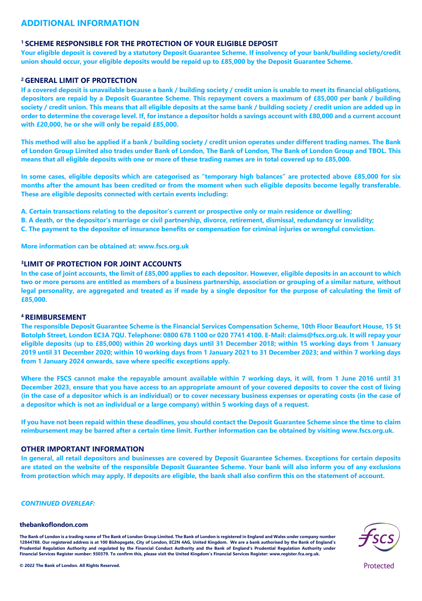# **ADDITIONAL INFORMATION**

## **1 SCHEME RESPONSIBLE FOR THE PROTECTION OF YOUR ELIGIBLE DEPOSIT**

**Your eligible deposit is covered by a statutory Deposit Guarantee Scheme. If insolvency of your bank/building society/credit union should occur, your eligible deposits would be repaid up to £85,000 by the Deposit Guarantee Scheme.**

#### **2 GENERAL LIMIT OF PROTECTION**

**If a covered deposit is unavailable because a bank / building society / credit union is unable to meet its financial obligations, depositors are repaid by a Deposit Guarantee Scheme. This repayment covers a maximum of £85,000 per bank / building society / credit union. This means that all eligible deposits at the same bank / building society / credit union are added up in order to determine the coverage level. If, for instance a depositor holds a savings account with £80,000 and a current account with £20,000, he or she will only be repaid £85,000.** 

**This method will also be applied if a bank / building society / credit union operates under different trading names. The Bank of London Group Limited also trades under Bank of London, The Bank of London, The Bank of London Group and TBOL. This means that all eligible deposits with one or more of these trading names are in total covered up to £85,000.** 

**In some cases, eligible deposits which are categorised as "temporary high balances" are protected above £85,000 for six months after the amount has been credited or from the moment when such eligible deposits become legally transferable. These are eligible deposits connected with certain events including:** 

- **A. Certain transactions relating to the depositor's current or prospective only or main residence or dwelling;**
- **B. A death, or the depositor's marriage or civil partnership, divorce, retirement, dismissal, redundancy or invalidity;**
- **C. The payment to the depositor of insurance benefits or compensation for criminal injuries or wrongful conviction.**

**More information can be obtained at: www.fscs.org.uk** 

# **3LIMIT OF PROTECTION FOR JOINT ACCOUNTS**

**In the case of joint accounts, the limit of £85,000 applies to each depositor. However, eligible deposits in an account to which two or more persons are entitled as members of a business partnership, association or grouping of a similar nature, without legal personality, are aggregated and treated as if made by a single depositor for the purpose of calculating the limit of £85,000.** 

#### **4 REIMBURSEMENT**

**The responsible Deposit Guarantee Scheme is the Financial Services Compensation Scheme, 10th Floor Beaufort House, 15 St Botolph Street, London EC3A 7QU. Telephone: 0800 678 1100 or 020 7741 4100. E-Mail: claims@fscs.org.uk. It will repay your eligible deposits (up to £85,000) within 20 working days until 31 December 2018; within 15 working days from 1 January 2019 until 31 December 2020; within 10 working days from 1 January 2021 to 31 December 2023; and within 7 working days from 1 January 2024 onwards, save where specific exceptions apply.** 

**Where the FSCS cannot make the repayable amount available within 7 working days, it will, from 1 June 2016 until 31 December 2023, ensure that you have access to an appropriate amount of your covered deposits to cover the cost of living (in the case of a depositor which is an individual) or to cover necessary business expenses or operating costs (in the case of a depositor which is not an individual or a large company) within 5 working days of a request.** 

**If you have not been repaid within these deadlines, you should contact the Deposit Guarantee Scheme since the time to claim reimbursement may be barred after a certain time limit. Further information can be obtained by visiting www.fscs.org.uk.**

#### **OTHER IMPORTANT INFORMATION**

**In general, all retail depositors and businesses are covered by Deposit Guarantee Schemes. Exceptions for certain deposits are stated on the website of the responsible Deposit Guarantee Scheme. Your bank will also inform you of any exclusions from protection which may apply. If deposits are eligible, the bank shall also confirm this on the statement of account.** 

#### *CONTINUED OVERLEAF:*

#### **thebankoflondon.com**

**The Bank of London is a trading name of The Bank of London Group Limited. The Bank of London is registered in England and Wales under company number 12844788. Our registered address is at 100 Bishopsgate, City of London, EC2N 4AG, United Kingdom. We are a bank authorised by the Bank of England's Prudential Regulation Authority and regulated by the Financial Conduct Authority and the Bank of England's Prudential Regulation Authority under Financial Services Register number: 930379. To confirm this, please visit the United Kingdom's Financial Services Register: www.register.fca.org.uk.**



**© 2022 The Bank of London. All Rights Reserved.**